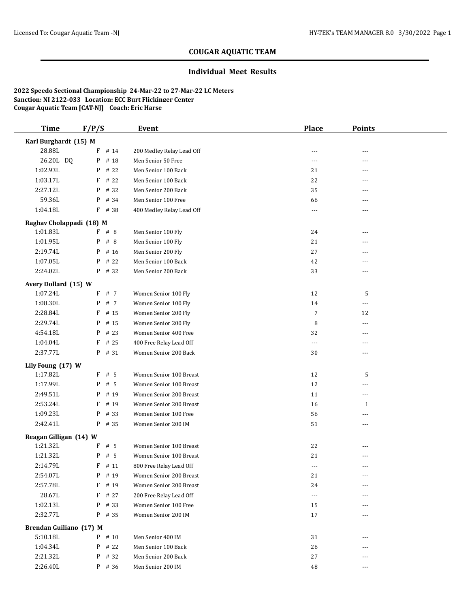# **COUGAR AQUATIC TEAM**

## **Individual Meet Results**

**2022 Speedo Sectional Championship 24-Mar-22 to 27-Mar-22 LC Meters Sanction: NI 2122-033 Location: ECC Burt Flickinger Center Cougar Aquatic Team [CAT-NJ] Coach: Eric Harse**

| <b>Time</b>              | F/P/S     | Event                     | <b>Place</b>         | <b>Points</b>  |  |
|--------------------------|-----------|---------------------------|----------------------|----------------|--|
| Karl Burghardt (15) M    |           |                           |                      |                |  |
| 28.88L                   | $F$ # 14  | 200 Medley Relay Lead Off | ---                  | ---            |  |
| 26.20L DQ                | P<br># 18 | Men Senior 50 Free        | ---                  | ---            |  |
| 1:02.93L                 | P<br># 22 | Men Senior 100 Back       | 21                   | ---            |  |
| 1:03.17L                 | # 22<br>F | Men Senior 100 Back       | 22                   | $- - -$        |  |
| 2:27.12L                 | $P$ # 32  | Men Senior 200 Back       | 35                   | ---            |  |
| 59.36L                   | $P$ # 34  | Men Senior 100 Free       | 66                   | ---            |  |
| 1:04.18L                 | $F$ # 38  | 400 Medley Relay Lead Off | ---                  | ---            |  |
| Raghav Cholappadi (18) M |           |                           |                      |                |  |
| 1:01.83L                 | F # 8     | Men Senior 100 Fly        | 24                   | ---            |  |
| 1:01.95L                 | # 8<br>P  | Men Senior 100 Fly        | 21                   |                |  |
| 2:19.74L                 | P<br># 16 | Men Senior 200 Fly        | $27\,$               | ---            |  |
| 1:07.05L                 | # 22<br>P | Men Senior 100 Back       | 42                   | ---            |  |
| 2:24.02L                 | P # 32    | Men Senior 200 Back       | 33                   | ---            |  |
| Avery Dollard (15) W     |           |                           |                      |                |  |
| 1:07.24L                 | F # 7     | Women Senior 100 Fly      | 12                   | 5              |  |
| 1:08.30L                 | P<br># 7  | Women Senior 100 Fly      | 14                   | ---            |  |
| 2:28.84L                 | F<br># 15 | Women Senior 200 Fly      | $\overline{7}$       | 12             |  |
| 2:29.74L                 | # 15<br>P | Women Senior 200 Fly      | 8                    | ---            |  |
| 4:54.18L                 | $P$ # 23  | Women Senior 400 Free     | 32                   |                |  |
| 1:04.04L                 | $F$ # 25  | 400 Free Relay Lead Off   | $---$                | ---            |  |
| 2:37.77L                 | $P$ # 31  | Women Senior 200 Back     | 30                   | ---            |  |
| Lily Foung (17) W        |           |                           |                      |                |  |
| 1:17.82L                 | $F$ # 5   | Women Senior 100 Breast   | 12                   | 5              |  |
| 1:17.99L                 | P<br># 5  | Women Senior 100 Breast   | 12                   | ---            |  |
| 2:49.51L                 | P<br># 19 | Women Senior 200 Breast   | 11                   | ---            |  |
| 2:53.24L                 | F<br># 19 | Women Senior 200 Breast   | 16                   | 1              |  |
| 1:09.23L                 | # 33<br>P | Women Senior 100 Free     | 56                   | ---            |  |
| 2:42.41L                 | P # 35    | Women Senior 200 IM       | 51                   | ---            |  |
| Reagan Gilligan (14) W   |           |                           |                      |                |  |
| 1:21.32L                 | $F$ # 5   | Women Senior 100 Breast   | 22                   | ---            |  |
| 1:21.32L                 | P<br># 5  | Women Senior 100 Breast   | 21                   | ---            |  |
| 2:14.79L                 | $F$ # 11  | 800 Free Relay Lead Off   | $- - -$              | $\overline{a}$ |  |
| 2:54.07L                 | P # 19    | Women Senior 200 Breast   | 21                   |                |  |
| 2:57.78L                 | $F$ # 19  | Women Senior 200 Breast   | 24                   |                |  |
| 28.67L                   | $F$ # 27  | 200 Free Relay Lead Off   | $\scriptstyle\cdots$ |                |  |
| 1:02.13L                 | P # 33    | Women Senior 100 Free     | 15                   | ---            |  |
| 2:32.77L                 | $P$ # 35  | Women Senior 200 IM       | 17                   | ---            |  |
| Brendan Guiliano (17) M  |           |                           |                      |                |  |
| 5:10.18L                 | P # 10    | Men Senior 400 IM         | 31                   | ---            |  |
| 1:04.34L                 | $P$ # 22  | Men Senior 100 Back       | 26                   |                |  |
| 2:21.32L                 | # 32<br>P | Men Senior 200 Back       | 27                   | ---            |  |
| 2:26.40L                 | $P$ # 36  | Men Senior 200 IM         | 48                   | ---            |  |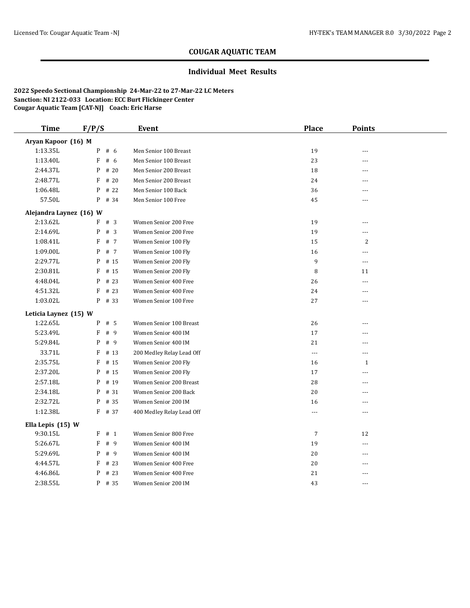# **COUGAR AQUATIC TEAM**

## **Individual Meet Results**

**2022 Speedo Sectional Championship 24-Mar-22 to 27-Mar-22 LC Meters Sanction: NI 2122-033 Location: ECC Burt Flickinger Center Cougar Aquatic Team [CAT-NJ] Coach: Eric Harse**

| <b>Time</b>             | F/P/S     | Event                     | <b>Place</b>   | <b>Points</b>  |  |
|-------------------------|-----------|---------------------------|----------------|----------------|--|
| Aryan Kapoor (16) M     |           |                           |                |                |  |
| 1:13.35L                | P<br># 6  | Men Senior 100 Breast     | 19             | ---            |  |
| 1:13.40L                | F<br># 6  | Men Senior 100 Breast     | 23             | ---            |  |
| 2:44.37L                | P<br># 20 | Men Senior 200 Breast     | 18             | ---            |  |
| 2:48.77L                | F<br># 20 | Men Senior 200 Breast     | 24             | ---            |  |
| 1:06.48L                | P<br># 22 | Men Senior 100 Back       | 36             | ---            |  |
| 57.50L                  | P<br># 34 | Men Senior 100 Free       | 45             | ---            |  |
| Alejandra Laynez (16) W |           |                           |                |                |  |
| 2:13.62L                | F # 3     | Women Senior 200 Free     | 19             | ---            |  |
| 2:14.69L                | P<br>#3   | Women Senior 200 Free     | 19             | ---            |  |
| 1:08.41L                | F<br># 7  | Women Senior 100 Fly      | 15             | 2              |  |
| 1:09.00L                | P<br># 7  | Women Senior 100 Fly      | 16             | ---            |  |
| 2:29.77L                | # 15<br>P | Women Senior 200 Fly      | 9              | $---$          |  |
| 2:30.81L                | # 15<br>F | Women Senior 200 Fly      | 8              | 11             |  |
| 4:48.04L                | # 23<br>P | Women Senior 400 Free     | 26             | ---            |  |
| 4:51.32L                | # 23<br>F | Women Senior 400 Free     | 24             | $\overline{a}$ |  |
| 1:03.02L                | P # 33    | Women Senior 100 Free     | 27             | $\overline{a}$ |  |
| Leticia Laynez (15) W   |           |                           |                |                |  |
| 1:22.65L                | # 5<br>P  | Women Senior 100 Breast   | 26             | ---            |  |
| 5:23.49L                | F<br>#9   | Women Senior 400 IM       | 17             | ---            |  |
| 5:29.84L                | P<br>#9   | Women Senior 400 IM       | 21             | ---            |  |
| 33.71L                  | F<br># 13 | 200 Medley Relay Lead Off | ---            | ---            |  |
| 2:35.75L                | F<br># 15 | Women Senior 200 Fly      | 16             | $\mathbf{1}$   |  |
| 2:37.20L                | # 15<br>P | Women Senior 200 Fly      | 17             | ---            |  |
| 2:57.18L                | # 19<br>P | Women Senior 200 Breast   | 28             | ---            |  |
| 2:34.18L                | P<br># 31 | Women Senior 200 Back     | 20             | ---            |  |
| 2:32.72L                | P<br># 35 | Women Senior 200 IM       | 16             | ---            |  |
| 1:12.38L                | $F$ # 37  | 400 Medley Relay Lead Off | $\overline{a}$ | ---            |  |
| Ella Lepis (15) W       |           |                           |                |                |  |
| 9:30.15L                | $F$ # 1   | Women Senior 800 Free     | 7              | 12             |  |
| 5:26.67L                | F<br>#9   | Women Senior 400 IM       | 19             | ---            |  |
| 5:29.69L                | P<br>#9   | Women Senior 400 IM       | 20             | ---            |  |
| 4:44.57L                | F<br># 23 | Women Senior 400 Free     | 20             | ---            |  |
| 4:46.86L                | P<br># 23 | Women Senior 400 Free     | 21             | ---            |  |
| 2:38.55L                | P # 35    | Women Senior 200 IM       | 43             | ---            |  |
|                         |           |                           |                |                |  |